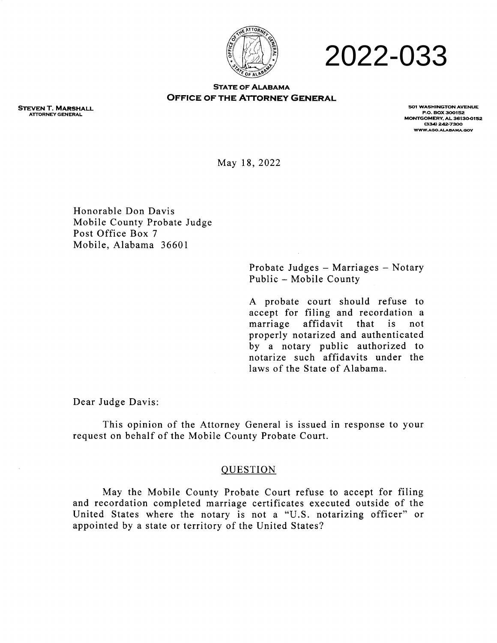

# 2022-033

#### **STATE OF ALABAMA OFFICE OF THE ATTORNEY GENERAL**

**STEVEN T. MARSHALL ATTORNEY GENERAL** 

**501 WASHINGTON AVENUE P.O. BOX 300152 MONTGOMERY, AL 361300152 (334) 242-7300 1NVVVV.AGO.ALABAMA.GOV** 

May 18, 2022

Honorable Don Davis Mobile County Probate Judge Post Office Box 7 Mobile, Alabama 36601

> Probate Judges — Marriages — Notary Public — Mobile County

> A probate court should refuse to accept for filing and recordation a marriage affidavit that is not properly notarized and authenticated by a notary public authorized to notarize such affidavits under the laws of the State of Alabama.

Dear Judge Davis:

This opinion of the Attorney General is issued in response to your request on behalf of the Mobile County Probate Court.

## QUESTION

May the Mobile County Probate Court refuse to accept for filing and recordation completed marriage certificates executed outside of the United States where the notary is not a "U.S. notarizing officer" or appointed by a state or territory of the United States?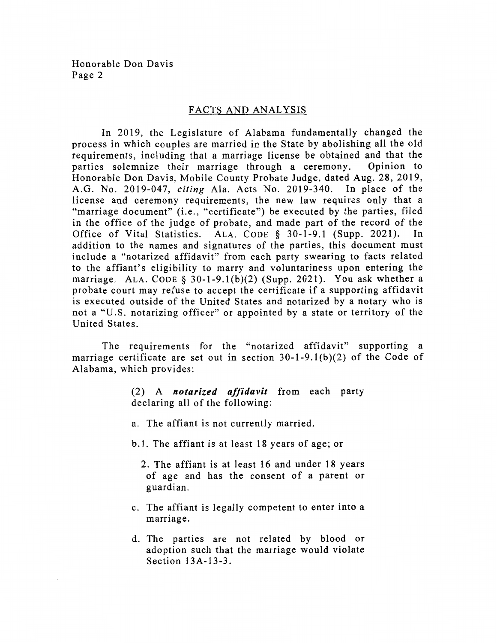## FACTS AND ANALYSIS

In 2019, the Legislature of Alabama fundamentally changed the process in which couples are married in the State by abolishing all the old requirements, including that a marriage license be obtained and that the parties solemnize their marriage through a ceremony. Opinion to parties solemnize their marriage through a ceremony. Honorable Don Davis, Mobile County Probate Judge, dated Aug. 28, 2019, A.G. No. 2019-047, *citing* Ala. Acts No. 2019-340. In place of the license and ceremony requirements, the new law requires only that a "marriage document" (i.e., "certificate") be executed by the parties, filed in the office of the judge of probate, and made part of the record of the Office of Vital Statistics. ALA CODE 8 30-1-9.1 (Supp. 2021). In Office of Vital Statistics. ALA. CODE  $\S$  30-1-9.1 (Supp. 2021). addition to the names and signatures of the parties, this document must include a "notarized affidavit" from each party swearing to facts related to the affiant's eligibility to marry and voluntariness upon entering the marriage. ALA. CODE  $\S$  30-1-9.1(b)(2) (Supp. 2021). You ask whether a probate court may refuse to accept the certificate if a supporting affidavit is executed outside of the United States and notarized by a notary who is not a "U.S. notarizing officer" or appointed by a state or territory of the United States.

The requirements for the "notarized affidavit" supporting a marriage certificate are set out in section  $30-1-9.1(b)(2)$  of the Code of Alabama, which provides:

> (2) A *notarized affidavit* from each party declaring all of the following:

- a. The affiant is not currently married.
- b.l. The affiant is at least 18 years of age; or
	- 2. The affiant is at least 16 and under 18 years of age and has the consent of a parent or guardian.
- c. The affiant is legally competent to enter into a marriage.
- d. The parties are not related by blood or adoption such that the marriage would violate Section 13A-13-3.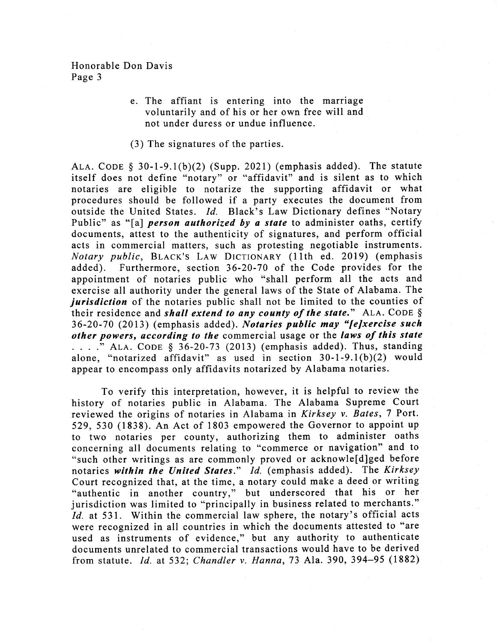e. The affiant is entering into the marriage voluntarily and of his or her own free will and not under duress or undue influence.

#### (3) The signatures of the parties.

ALA. CODE  $\S$  30-1-9.1(b)(2) (Supp. 2021) (emphasis added). The statute itself does not define "notary" or "affidavit" and is silent as to which notaries are eligible to notarize the supporting affidavit or what procedures should be followed if a party executes the document from outside the United States. *Id.* Black's Law Dictionary defines "Notary Public" as "[a] *person authorized by a state* to administer oaths, certify documents, attest to the authenticity of signatures, and perform official acts in commercial matters, such as protesting negotiable instruments. *Notary public,* BLACK'S LAW DICTIONARY (11th ed. 2019) (emphasis added). Furthermore, section 36-20-70 of the Code provides for the appointment of notaries public who "shall perform all the acts and exercise all authority under the general laws of the State of Alabama. The *jurisdiction* of the notaries public shall not be limited to the counties of their residence and *shall extend to any county of the state."* ALA. CODE § 36-20-70 (2013) (emphasis added). *Notaries public may leixercise such other powers, according to the* commercial usage or the *laws of this state . . . ."* ALA. CODE § 36-20-73 (2013) (emphasis added). Thus, standing alone, "notarized affidavit" as used in section 30-1-9.1(b)(2) would appear to encompass only affidavits notarized by Alabama notaries.

To verify this interpretation, however, it is helpful to review the history of notaries public in Alabama. The Alabama Supreme Court reviewed the origins of notaries in Alabama in *Kirksey v. Bates,* 7 Port. 529, 530 (1838). An Act of 1803 empowered the Governor to appoint up to two notaries per county, authorizing them to administer oaths concerning all documents relating to "commerce or navigation" and to "such other writings as are commonly proved or acknowle[d]ged before notaries *within the United States." Id.* (emphasis added). The *Kirksey*  Court recognized that, at the time, a notary could make a deed or writing "authentic in another country," but underscored that his or her jurisdiction was limited to "principally in business related to merchants." *Id.* at 531. Within the commercial law sphere, the notary's official acts were recognized in all countries in which the documents attested to "are used as instruments of evidence," but any authority to authenticate documents unrelated to commercial transactions would have to be derived from statute. *Id.* at 532; *Chandler v. Hanna,* 73 Ala. 390, 394-95 (1882)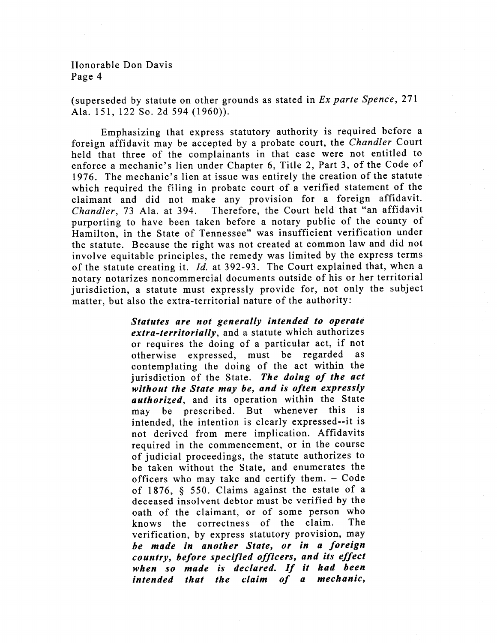(superseded by statute on other grounds as stated in *Ex parte Spence,* 271 Ala. 151, 122 So. 2d 594 (1960)).

Emphasizing that express statutory authority is required before a foreign affidavit may be accepted by a probate court, the *Chandler* Court held that three of the complainants in that case were not entitled to enforce a mechanic's lien under Chapter 6, Title 2, Part 3, of the Code of 1976. The mechanic's lien at issue was entirely the creation of the statute which required the filing in probate court of a verified statement of the claimant and did not make any provision for a foreign affidavit. *Chandler,* 73 Ala. at 394. Therefore, the Court held that "an affidavit purporting to have been taken before a notary public of the county of Hamilton, in the State of Tennessee" was insufficient verification under the statute. Because the right was not created at common law and did not involve equitable principles, the remedy was limited by the express terms of the statute creating it. *Id.* at 392-93. The Court explained that, when a notary notarizes noncommercial documents outside of his or her territorial jurisdiction, a statute must expressly provide for, not only the subject matter, but also the extra-territorial nature of the authority:

> *Statutes are not generally intended to operate extra-territorially,* and a statute which authorizes or requires the doing of a particular act, if not otherwise expressed, must be regarded as contemplating the doing of the act within the jurisdiction of the State. *The doing of the act without the State may be, and is often expressly authorized,* and its operation within the State may be prescribed. But whenever this is intended, the intention is clearly expressed--it is not derived from mere implication. Affidavits required in the commencement, or in the course of judicial proceedings, the statute authorizes to be taken without the State, and enumerates the officers who may take and certify them. — Code of 1876, § 550. Claims against the estate of a deceased insolvent debtor must be verified by the oath of the claimant, or of some person who<br>knows the correctness of the claim. The knows the correctness of the claim. verification, by express statutory provision, may *be made in another State, or in a foreign country, before specified officers, and its effect when so made is declared. If it had been intended that the claim of a mechanic,*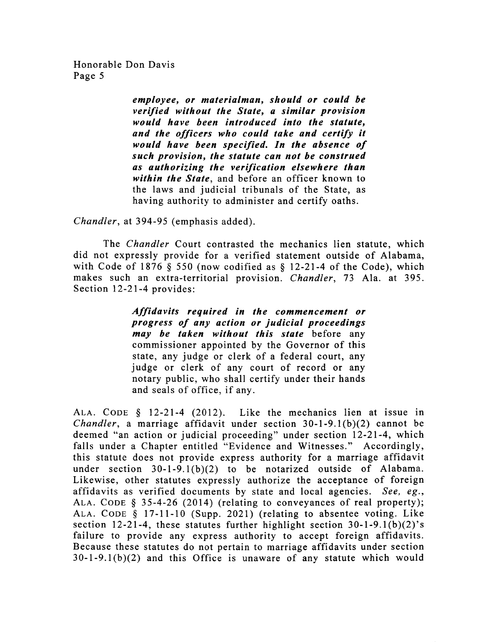> *employee, or materialman, should or could be verified without the State, a similar provision would have been introduced into the statute, and the officers who could take and certify it would have been specified. In the absence of such provision, the statute can not be construed as authorizing the verification elsewhere than within the State,* and before an officer known to the laws and judicial tribunals of the State, as having authority to administer and certify oaths.

*Chandler,* at 394-95 (emphasis added).

The *Chandler* Court contrasted the mechanics lien statute, which did not expressly provide for a verified statement outside of Alabama, with Code of 1876  $\S$  550 (now codified as  $\S$  12-21-4 of the Code), which makes such an extra-territorial provision. *Chandler,* 73 Ala. at 395. Section 12-21-4 provides:

> *Affidavits required in the commencement or progress of any action or judicial proceedings may be taken without this state* before any commissioner appointed by the Governor of this state, any judge or clerk of a federal court, any judge or clerk of any court of record or any notary public, who shall certify under their hands and seals of office, if any.

ALA. CODE § 12-21-4 (2012). Like the mechanics lien at issue in *Chandler,* a marriage affidavit under section 30-1-9.1(b)(2) cannot be deemed "an action or judicial proceeding" under section 12-21-4, which falls under a Chapter entitled "Evidence and Witnesses." Accordingly, this statute does not provide express authority for a marriage affidavit under section 30-1-9.1(b)(2) to be notarized outside of Alabama. Likewise, other statutes expressly authorize the acceptance of foreign affidavits as verified documents by state and local agencies. *See, eg.,*  ALA. CODE § 35-4-26 (2014) (relating to conveyances of real property); ALA. CODE § 17-11-10 (Supp. 2021) (relating to absentee voting. Like section 12-21-4, these statutes further highlight section  $30-1-9.1(b)(2)$ 's failure to provide any express authority to accept foreign affidavits. Because these statutes do not pertain to marriage affidavits under section 30-1-9.1(b)(2) and this Office is unaware of any statute which would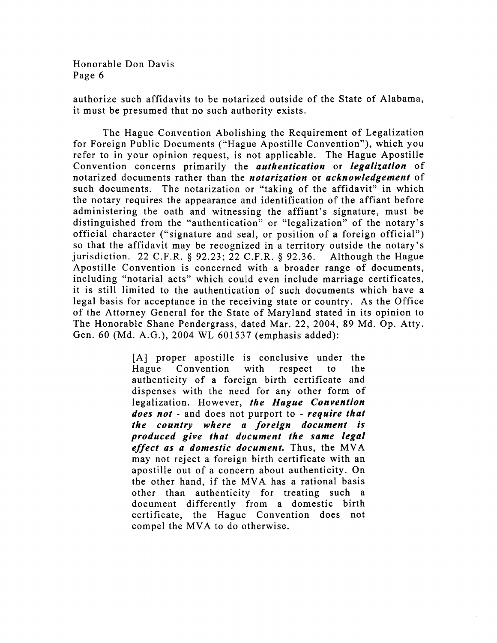authorize such affidavits to be notarized outside of the State of Alabama, it must be presumed that no such authority exists.

The Hague Convention Abolishing the Requirement of Legalization for Foreign Public Documents ("Hague Apostille Convention"), which you refer to in your opinion request, is not applicable. The Hague Apostille Convention concerns primarily the *authentication* or *legalization* of notarized documents rather than the *notarization* or *acknowledgement* of such documents. The notarization or "taking of the affidavit" in which the notary requires the appearance and identification of the affiant before administering the oath and witnessing the affiant's signature, must be distinguished from the "authentication" or "legalization" of the notary's official character ("signature and seal, or position of a foreign official") so that the affidavit may be recognized in a territory outside the notary's jurisdiction. 22 C.F.R. § 92.23; 22 C.F.R. § 92.36. Although the Hague Apostille Convention is concerned with a broader range of documents, including "notarial acts" which could even include marriage certificates, it is still limited to the authentication of such documents which have a legal basis for acceptance in the receiving state or country. As the Office of the Attorney General for the State of Maryland stated in its opinion to The Honorable Shane Pendergrass, dated Mar. 22, 2004, 89 Md. Op. Atty. Gen. 60 (Md. A.G.), 2004 WL 601537 (emphasis added):

> [A] proper apostille is conclusive under the Hague Convention with respect to the authenticity of a foreign birth certificate and dispenses with the need for any other form of legalization. However, *the Hague Convention does not -* and does not purport to - *require that the country where a foreign document is produced give that document the same legal effect as a domestic document.* Thus, the MVA may not reject a foreign birth certificate with an apostille out of a concern about authenticity. On the other hand, if the MVA has a rational basis other than authenticity for treating such a document differently from a domestic birth certificate, the Hague Convention does not compel the MVA to do otherwise.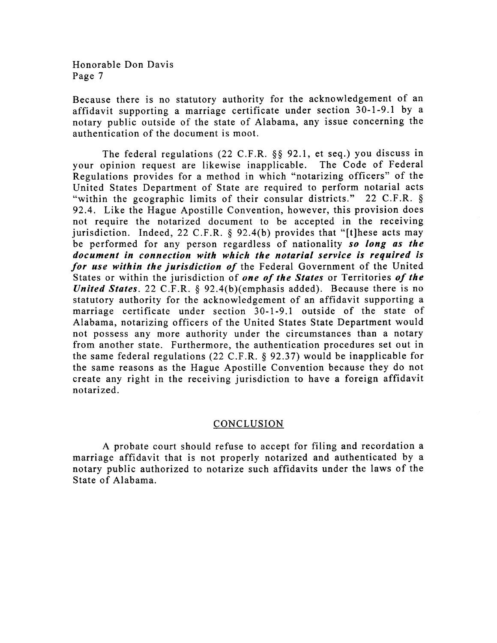Because there is no statutory authority for the acknowledgement of an affidavit supporting a marriage certificate under section 30-1-9.1 by a notary public outside of the state of Alabama, any issue concerning the authentication of the document is moot.

The federal regulations (22 C.F.R. §§ 92.1, et seq.) you discuss in your opinion request are likewise inapplicable. The Code of Federal Regulations provides for a method in which "notarizing officers" of the United States Department of State are required to perform notarial acts "within the geographic limits of their consular districts." 22 C.F.R. § 92.4. Like the Hague Apostille Convention, however, this provision does not require the notarized document to be accepted in the receiving jurisdiction. Indeed, 22 C.F.R.  $\S$  92.4(b) provides that "[t]hese acts may be performed for any person regardless of nationality *so long as the document in connection with which the notarial service is required is for use within the jurisdiction of* the Federal Government of the United States or within the jurisdiction of *one of the States* or Territories *of the United States.* 22 C.F.R. § 92.4(b)(emphasis added). Because there is no statutory authority for the acknowledgement of an affidavit supporting a marriage certificate under section 30-1-9.1 outside of the state of Alabama, notarizing officers of the United States State Department would not possess any more authority under the circumstances than a notary from another state. Furthermore, the authentication procedures set out in the same federal regulations (22 C.F.R. § 92.37) would be inapplicable for the same reasons as the Hague Apostille Convention because they do not create any right in the receiving jurisdiction to have a foreign affidavit notarized.

## CONCLUSION

A probate court should refuse to accept for filing and recordation a marriage affidavit that is not properly notarized and authenticated by a notary public authorized to notarize such affidavits under the laws of the State of Alabama.